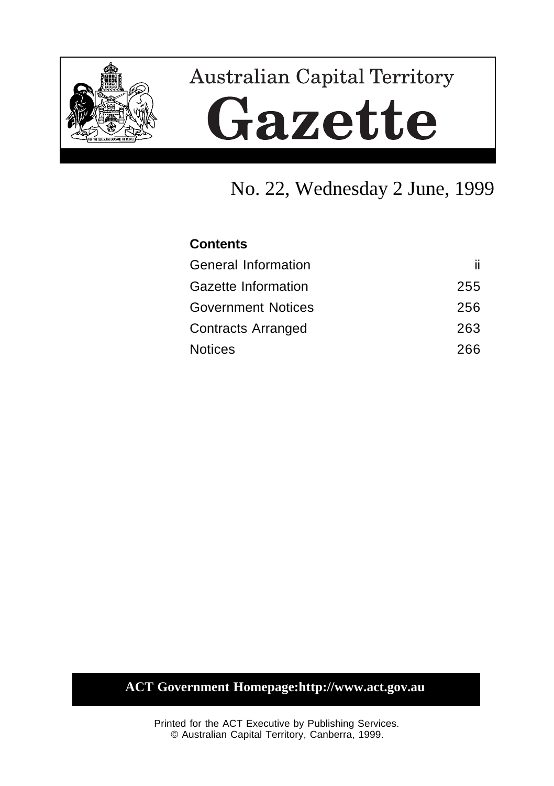

# **Australian Capital Territory** Gazette

# No. 22, Wednesday 2 June, 1999

# **Contents** General Information iii Gazette Information 255 Government Notices 256 Contracts Arranged 263 Notices 266

## **ACT Government Homepage:http://www.act.gov.au**

Printed for the ACT Executive by Publishing Services. © Australian Capital Territory, Canberra, 1999.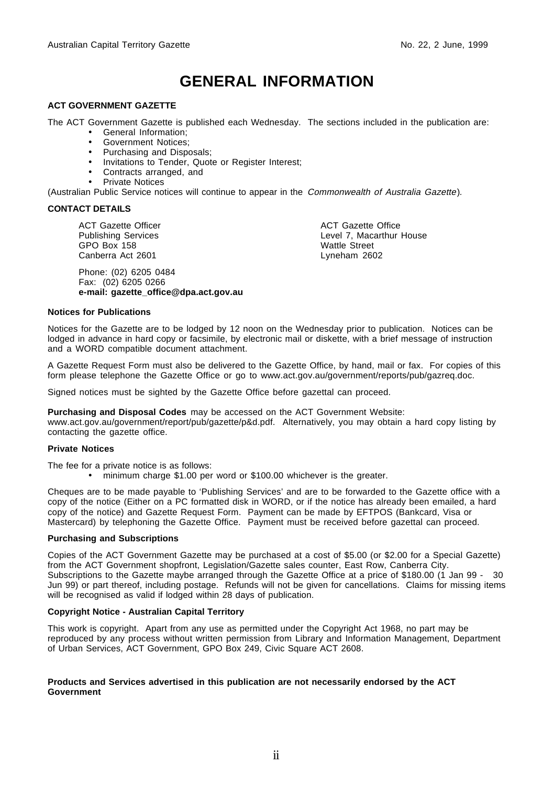# **GENERAL INFORMATION**

#### **ACT GOVERNMENT GAZETTE**

The ACT Government Gazette is published each Wednesday. The sections included in the publication are:

- General Information;
- Government Notices;
- Purchasing and Disposals;
- Invitations to Tender, Quote or Register Interest;
- Contracts arranged, and
- Private Notices

(Australian Public Service notices will continue to appear in the Commonwealth of Australia Gazette).

#### **CONTACT DETAILS**

ACT Gazette Officer Publishing Services GPO Box 158 Canberra Act 2601

Phone: (02) 6205 0484 Fax: (02) 6205 0266 **e-mail: gazette\_office@dpa.act.gov.au** ACT Gazette Office Level 7, Macarthur House Wattle Street Lyneham 2602

#### **Notices for Publications**

Notices for the Gazette are to be lodged by 12 noon on the Wednesday prior to publication. Notices can be lodged in advance in hard copy or facsimile, by electronic mail or diskette, with a brief message of instruction and a WORD compatible document attachment.

A Gazette Request Form must also be delivered to the Gazette Office, by hand, mail or fax. For copies of this form please telephone the Gazette Office or go to www.act.gov.au/government/reports/pub/gazreq.doc.

Signed notices must be sighted by the Gazette Office before gazettal can proceed.

**Purchasing and Disposal Codes** may be accessed on the ACT Government Website:

www.act.gov.au/government/report/pub/gazette/p&d.pdf. Alternatively, you may obtain a hard copy listing by contacting the gazette office.

#### **Private Notices**

The fee for a private notice is as follows:

• minimum charge \$1.00 per word or \$100.00 whichever is the greater.

Cheques are to be made payable to 'Publishing Services' and are to be forwarded to the Gazette office with a copy of the notice (Either on a PC formatted disk in WORD, or if the notice has already been emailed, a hard copy of the notice) and Gazette Request Form. Payment can be made by EFTPOS (Bankcard, Visa or Mastercard) by telephoning the Gazette Office. Payment must be received before gazettal can proceed.

#### **Purchasing and Subscriptions**

Copies of the ACT Government Gazette may be purchased at a cost of \$5.00 (or \$2.00 for a Special Gazette) from the ACT Government shopfront, Legislation/Gazette sales counter, East Row, Canberra City. Subscriptions to the Gazette maybe arranged through the Gazette Office at a price of \$180.00 (1 Jan 99 - 30 Jun 99) or part thereof, including postage. Refunds will not be given for cancellations. Claims for missing items will be recognised as valid if lodged within 28 days of publication.

#### **Copyright Notice - Australian Capital Territory**

This work is copyright. Apart from any use as permitted under the Copyright Act 1968, no part may be reproduced by any process without written permission from Library and Information Management, Department of Urban Services, ACT Government, GPO Box 249, Civic Square ACT 2608.

#### **Products and Services advertised in this publication are not necessarily endorsed by the ACT Government**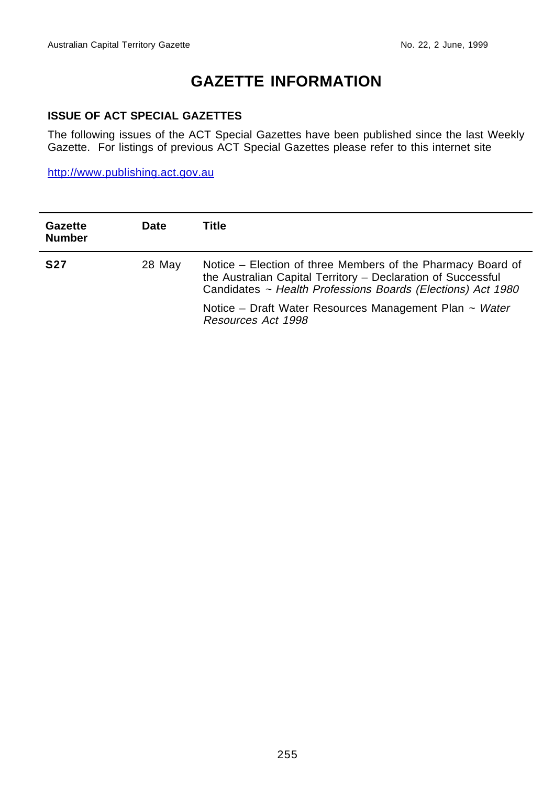# **GAZETTE INFORMATION**

#### **ISSUE OF ACT SPECIAL GAZETTES**

The following issues of the ACT Special Gazettes have been published since the last Weekly Gazette. For listings of previous ACT Special Gazettes please refer to this internet site

http://www.publishing.act.gov.au

| Gazette<br><b>Number</b> | <b>Date</b> | Title                                                                                                                                                                                      |  |
|--------------------------|-------------|--------------------------------------------------------------------------------------------------------------------------------------------------------------------------------------------|--|
| <b>S27</b>               | 28 May      | Notice – Election of three Members of the Pharmacy Board of<br>the Australian Capital Territory - Declaration of Successful<br>Candidates ~ Health Professions Boards (Elections) Act 1980 |  |
|                          |             | Notice – Draft Water Resources Management Plan $\sim$ Water<br>Resources Act 1998                                                                                                          |  |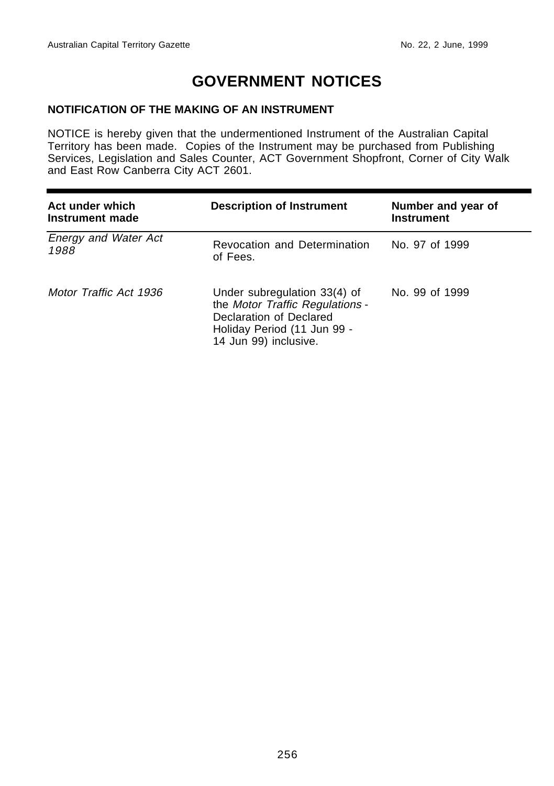# **GOVERNMENT NOTICES**

#### **NOTIFICATION OF THE MAKING OF AN INSTRUMENT**

NOTICE is hereby given that the undermentioned Instrument of the Australian Capital Territory has been made. Copies of the Instrument may be purchased from Publishing Services, Legislation and Sales Counter, ACT Government Shopfront, Corner of City Walk and East Row Canberra City ACT 2601.

| Act under which<br>Instrument made  | <b>Description of Instrument</b>                                                                                                                   | Number and year of<br><b>Instrument</b> |
|-------------------------------------|----------------------------------------------------------------------------------------------------------------------------------------------------|-----------------------------------------|
| <b>Energy and Water Act</b><br>1988 | Revocation and Determination<br>of Fees.                                                                                                           | No. 97 of 1999                          |
| Motor Traffic Act 1936              | Under subregulation 33(4) of<br>the Motor Traffic Regulations -<br>Declaration of Declared<br>Holiday Period (11 Jun 99 -<br>14 Jun 99) inclusive. | No. 99 of 1999                          |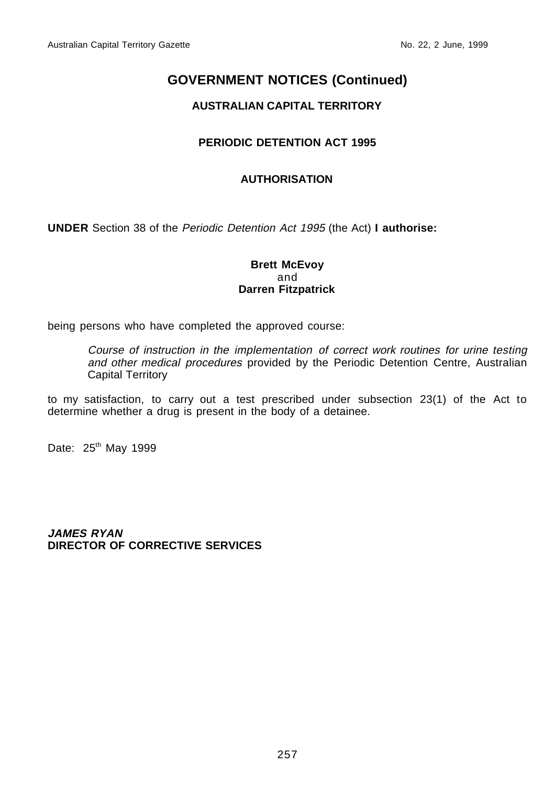#### **AUSTRALIAN CAPITAL TERRITORY**

#### **PERIODIC DETENTION ACT 1995**

#### **AUTHORISATION**

**UNDER** Section 38 of the Periodic Detention Act 1995 (the Act) **I authorise:**

#### **Brett McEvoy** and **Darren Fitzpatrick**

being persons who have completed the approved course:

Course of instruction in the implementation of correct work routines for urine testing and other medical procedures provided by the Periodic Detention Centre, Australian Capital Territory

to my satisfaction, to carry out a test prescribed under subsection 23(1) of the Act to determine whether a drug is present in the body of a detainee.

Date: 25<sup>th</sup> May 1999

**JAMES RYAN DIRECTOR OF CORRECTIVE SERVICES**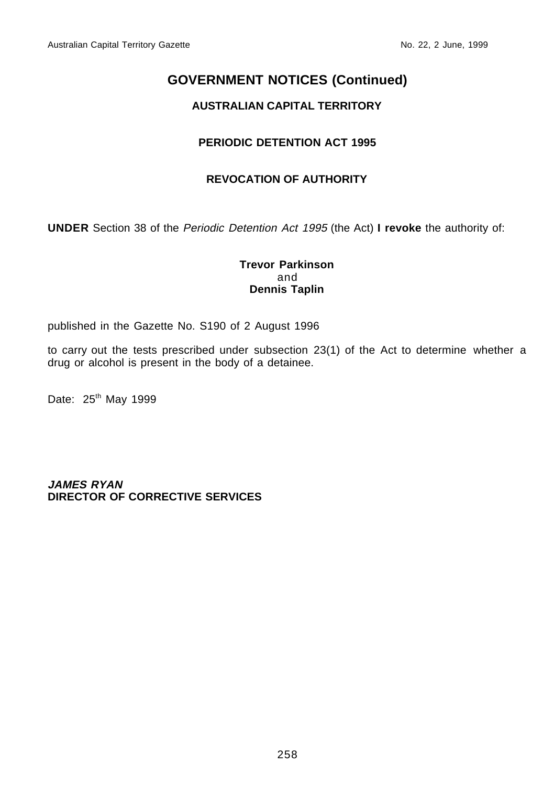#### **AUSTRALIAN CAPITAL TERRITORY**

#### **PERIODIC DETENTION ACT 1995**

#### **REVOCATION OF AUTHORITY**

**UNDER** Section 38 of the Periodic Detention Act 1995 (the Act) **I revoke** the authority of:

#### **Trevor Parkinson** and **Dennis Taplin**

published in the Gazette No. S190 of 2 August 1996

to carry out the tests prescribed under subsection 23(1) of the Act to determine whether a drug or alcohol is present in the body of a detainee.

Date: 25<sup>th</sup> May 1999

**JAMES RYAN DIRECTOR OF CORRECTIVE SERVICES**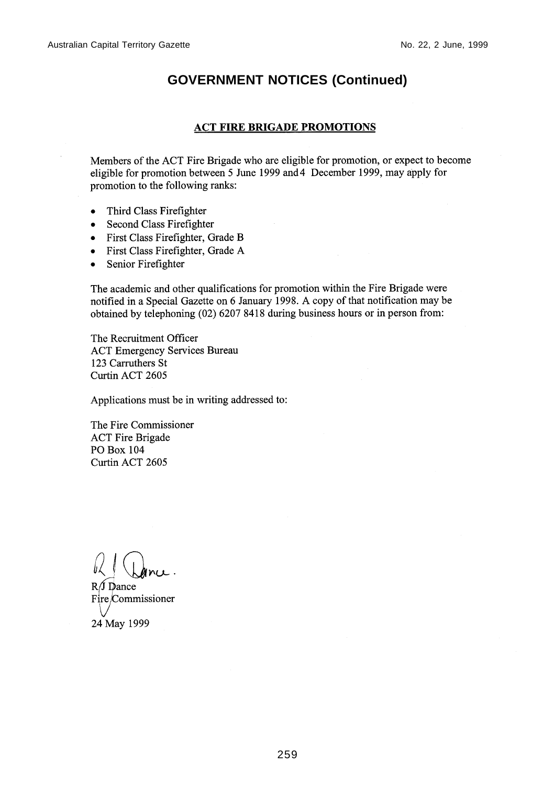#### **ACT FIRE BRIGADE PROMOTIONS**

Members of the ACT Fire Brigade who are eligible for promotion, or expect to become eligible for promotion between 5 June 1999 and 4 December 1999, may apply for promotion to the following ranks:

- Third Class Firefighter  $\bullet$
- Second Class Firefighter
- First Class Firefighter, Grade B
- First Class Firefighter, Grade A
- Senior Firefighter  $\bullet$

The academic and other qualifications for promotion within the Fire Brigade were notified in a Special Gazette on 6 January 1998. A copy of that notification may be obtained by telephoning (02) 6207 8418 during business hours or in person from:

The Recruitment Officer **ACT Emergency Services Bureau** 123 Carruthers St Curtin ACT 2605

Applications must be in writing addressed to:

The Fire Commissioner **ACT Fire Brigade** PO Box 104 Curtin ACT 2605

 $R/J$  Dance Fire/Commissioner 24 May 1999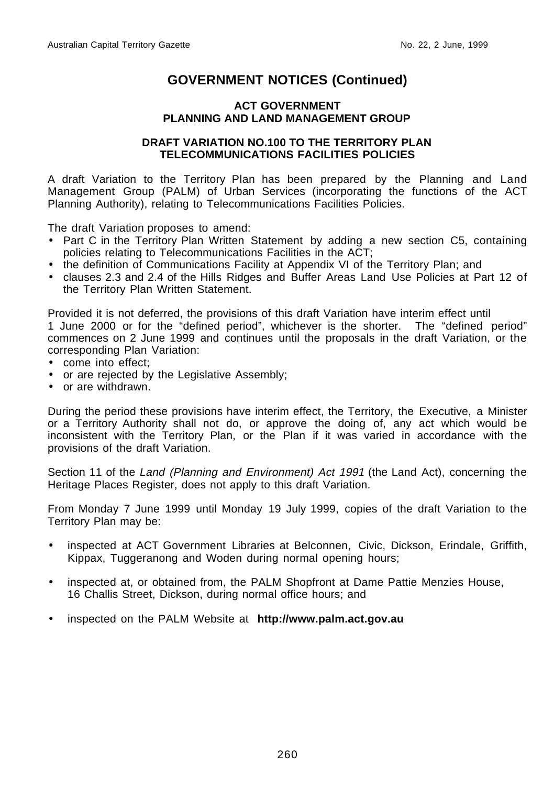#### **ACT GOVERNMENT PLANNING AND LAND MANAGEMENT GROUP**

#### **DRAFT VARIATION NO.100 TO THE TERRITORY PLAN TELECOMMUNICATIONS FACILITIES POLICIES**

A draft Variation to the Territory Plan has been prepared by the Planning and Land Management Group (PALM) of Urban Services (incorporating the functions of the ACT Planning Authority), relating to Telecommunications Facilities Policies.

The draft Variation proposes to amend:

- Part C in the Territory Plan Written Statement by adding a new section C5, containing policies relating to Telecommunications Facilities in the ACT;
- the definition of Communications Facility at Appendix VI of the Territory Plan; and
- clauses 2.3 and 2.4 of the Hills Ridges and Buffer Areas Land Use Policies at Part 12 of the Territory Plan Written Statement.

Provided it is not deferred, the provisions of this draft Variation have interim effect until 1 June 2000 or for the "defined period", whichever is the shorter. The "defined period" commences on 2 June 1999 and continues until the proposals in the draft Variation, or the corresponding Plan Variation:

- come into effect;
- or are rejected by the Legislative Assembly;
- or are withdrawn.

During the period these provisions have interim effect, the Territory, the Executive, a Minister or a Territory Authority shall not do, or approve the doing of, any act which would be inconsistent with the Territory Plan, or the Plan if it was varied in accordance with the provisions of the draft Variation.

Section 11 of the Land (Planning and Environment) Act 1991 (the Land Act), concerning the Heritage Places Register, does not apply to this draft Variation.

From Monday 7 June 1999 until Monday 19 July 1999, copies of the draft Variation to the Territory Plan may be:

- inspected at ACT Government Libraries at Belconnen, Civic, Dickson, Erindale, Griffith, Kippax, Tuggeranong and Woden during normal opening hours;
- inspected at, or obtained from, the PALM Shopfront at Dame Pattie Menzies House, 16 Challis Street, Dickson, during normal office hours; and
- inspected on the PALM Website at **http://www.palm.act.gov.au**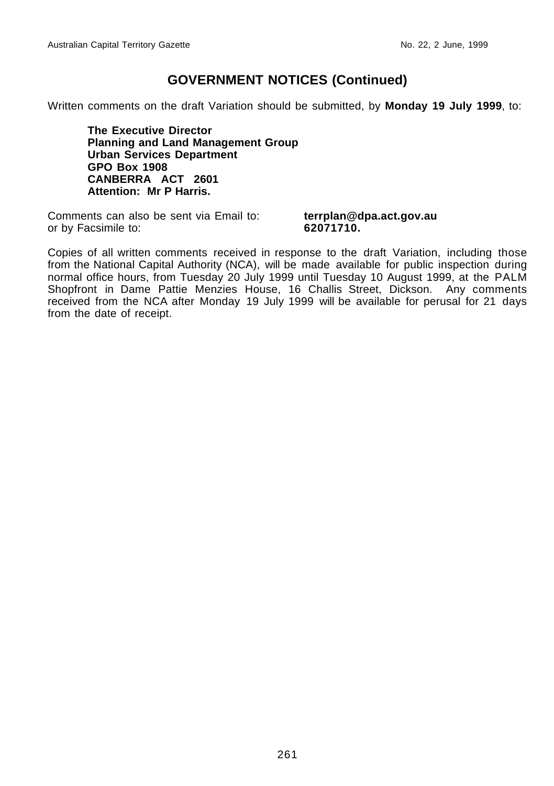Written comments on the draft Variation should be submitted, by **Monday 19 July 1999**, to:

**The Executive Director Planning and Land Management Group Urban Services Department GPO Box 1908 CANBERRA ACT 2601 Attention: Mr P Harris.**

Comments can also be sent via Email to: **terrplan@dpa.act.gov.au** or by Facsimile to: **62071710.**

Copies of all written comments received in response to the draft Variation, including those from the National Capital Authority (NCA), will be made available for public inspection during normal office hours, from Tuesday 20 July 1999 until Tuesday 10 August 1999, at the PALM Shopfront in Dame Pattie Menzies House, 16 Challis Street, Dickson. Any comments received from the NCA after Monday 19 July 1999 will be available for perusal for 21 days from the date of receipt.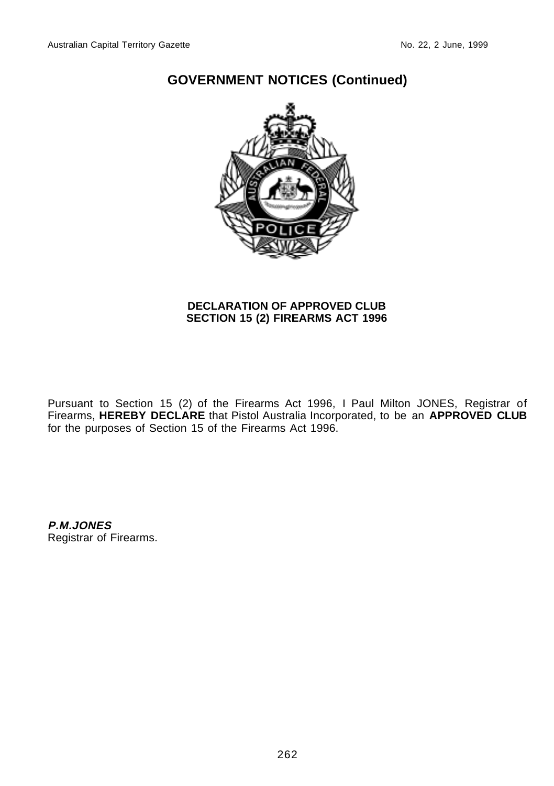

#### **DECLARATION OF APPROVED CLUB SECTION 15 (2) FIREARMS ACT 1996**

Pursuant to Section 15 (2) of the Firearms Act 1996, I Paul Milton JONES, Registrar of Firearms, **HEREBY DECLARE** that Pistol Australia Incorporated, to be an **APPROVED CLUB** for the purposes of Section 15 of the Firearms Act 1996.

**P.M.JONES** Registrar of Firearms.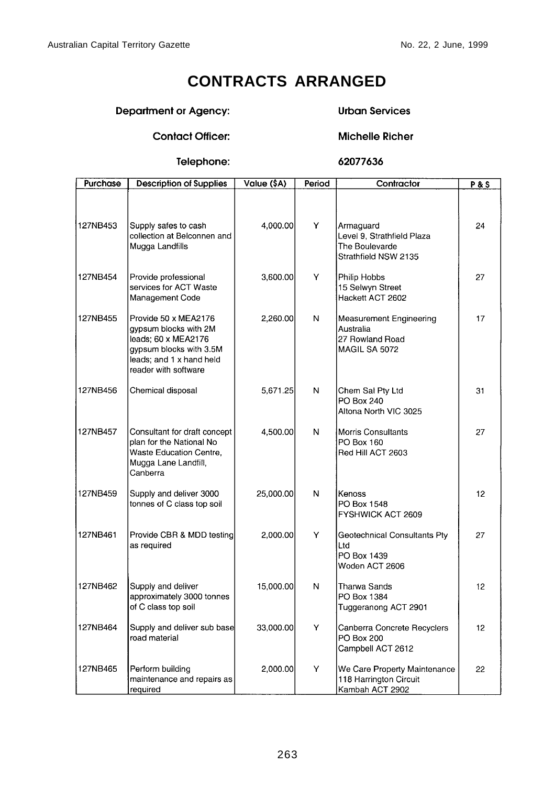# **CONTRACTS ARRANGED**

#### **Department or Agency:**

#### **Urban Services**

**Michelle Richer** 

#### **Contact Officer:**

#### Telephone:

#### 62077636

| Purchase | <b>Description of Supplies</b>                                                                                                                      | Value (\$A) | Period | Contractor                                                                        | <b>P&amp;S</b>  |
|----------|-----------------------------------------------------------------------------------------------------------------------------------------------------|-------------|--------|-----------------------------------------------------------------------------------|-----------------|
| 127NB453 | Supply safes to cash<br>collection at Belconnen and<br>Mugga Landfills                                                                              | 4,000.00    | Y      | Armaguard<br>Level 9, Strathfield Plaza<br>The Boulevarde<br>Strathfield NSW 2135 | 24              |
| 127NB454 | Provide professional<br>services for ACT Waste<br>Management Code                                                                                   | 3,600.00    | Y      | Philip Hobbs<br>15 Selwyn Street<br>Hackett ACT 2602                              | 27              |
| 127NB455 | Provide 50 x MEA2176<br>gypsum blocks with 2M<br>leads; 60 x MEA2176<br>gypsum blocks with 3.5M<br>leads; and 1 x hand held<br>reader with software | 2,260.00    | N      | Measurement Engineering<br>Australia<br>27 Rowland Road<br>MAGIL SA 5072          | 17              |
| 127NB456 | Chemical disposal                                                                                                                                   | 5,671.25    | N      | Chem Sal Pty Ltd<br>PO Box 240<br>Altona North VIC 3025                           | 31              |
| 127NB457 | Consultant for draft concept<br>plan for the National No<br>Waste Education Centre,<br>Mugga Lane Landfill,<br>Canberra                             | 4,500.00    | N      | <b>Morris Consultants</b><br>PO Box 160<br>Red Hill ACT 2603                      | 27              |
| 127NB459 | Supply and deliver 3000<br>tonnes of C class top soil                                                                                               | 25,000.00   | N      | Kenoss<br>PO Box 1548<br>FYSHWICK ACT 2609                                        | 12 <sup>°</sup> |
| 127NB461 | Provide CBR & MDD testing<br>as required                                                                                                            | 2,000.00    | Y      | Geotechnical Consultants Pty<br>Ltd<br>PO Box 1439<br>Woden ACT 2606              | 27              |
| 127NB462 | Supply and deliver<br>approximately 3000 tonnes<br>of C class top soil                                                                              | 15,000.00   | N      | Tharwa Sands<br>PO Box 1384<br>Tuggeranong ACT 2901                               | 12              |
| 127NB464 | Supply and deliver sub base<br>road material                                                                                                        | 33,000.00   | Y      | Canberra Concrete Recyclers<br>PO Box 200<br>Campbell ACT 2612                    | 12              |
| 127NB465 | Perform building<br>maintenance and repairs as<br>required                                                                                          | 2,000.00    | Y      | We Care Property Maintenance<br>118 Harrington Circuit<br>Kambah ACT 2902         | 22              |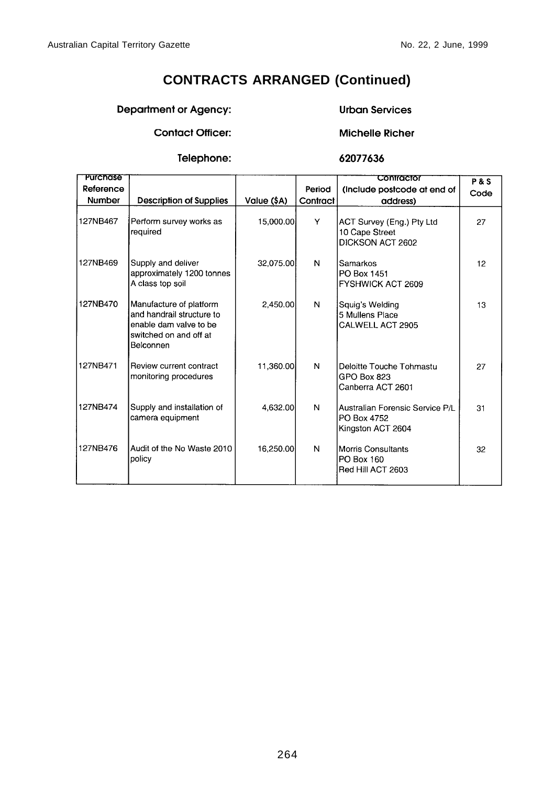## **CONTRACTS ARRANGED (Continued)**

#### Department or Agency:

#### **Urban Services**

**Contact Officer:** 

# **Michelle Richer**

Telephone:

62077636

| Purchase  |                                                                                                                       |             |          | Contractor                                                          | <b>P&amp;S</b> |
|-----------|-----------------------------------------------------------------------------------------------------------------------|-------------|----------|---------------------------------------------------------------------|----------------|
| Reference |                                                                                                                       |             | Period   | (Include postcode at end of                                         | Code           |
| Number    | <b>Description of Supplies</b>                                                                                        | Value (\$A) | Contract | address)                                                            |                |
| 127NB467  | Perform survey works as<br>required                                                                                   | 15,000.00   | Y        | ACT Survey (Eng.) Pty Ltd<br>10 Cape Street<br>DICKSON ACT 2602     | 27             |
| 127NB469  | Supply and deliver<br>approximately 1200 tonnes<br>A class top soil                                                   | 32,075.00   | N        | Samarkos<br>PO Box 1451<br>FYSHWICK ACT 2609                        | 12             |
| 127NB470  | Manufacture of platform<br>and handrail structure to<br>enable dam valve to be<br>switched on and off at<br>Belconnen | 2.450.00    | N        | Squiq's Welding<br>5 Mullens Place<br>CALWELL ACT 2905              | 13             |
| 127NB471  | Review current contract<br>monitoring procedures                                                                      | 11,360.00   | N        | Deloitte Touche Tohmastu<br>GPO Box 823<br>Canberra ACT 2601        | 27             |
| 127NB474  | Supply and installation of<br>camera equipment                                                                        | 4.632.00    | N        | Australian Forensic Service P/L<br>PO Box 4752<br>Kingston ACT 2604 | 31             |
| 127NB476  | Audit of the No Waste 2010<br>policy                                                                                  | 16,250.00   | N        | Morris Consultants<br>PO Box 160<br>Red Hill ACT 2603               | 32             |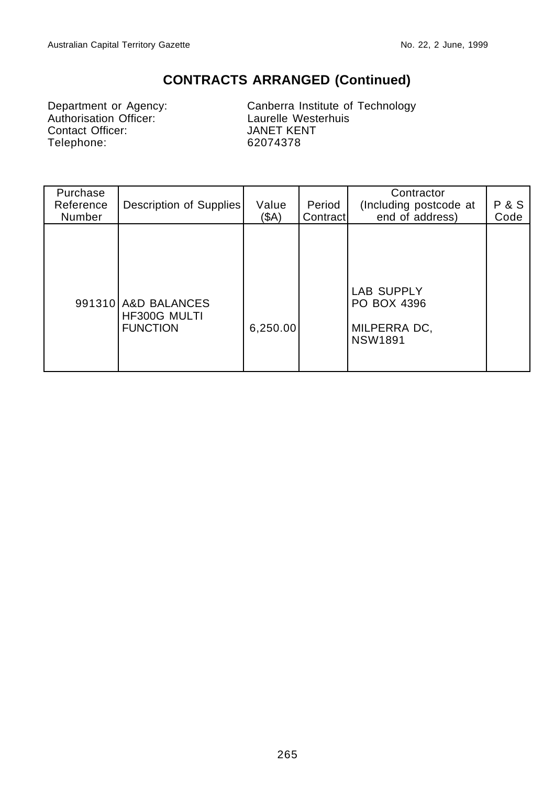## **CONTRACTS ARRANGED (Continued)**

Department or Agency:<br>
Authorisation Officer:<br>
Canberra Institute of<br>
Laurelle Westerhuis<br>
Contact Officer:<br>
JANET KENT Contact Officer: Telephone: 62074378

Canberra Institute of Technology

| Purchase<br>Reference<br>Number | Description of Supplies                                | Value<br>(SA) | Period<br>Contract | Contractor<br>(Including postcode at<br>end of address)     | <b>P&amp;S</b><br>Code |
|---------------------------------|--------------------------------------------------------|---------------|--------------------|-------------------------------------------------------------|------------------------|
|                                 | 991310 A&D BALANCES<br>HF300G MULTI<br><b>FUNCTION</b> | 6,250.00      |                    | LAB SUPPLY<br>PO BOX 4396<br>MILPERRA DC,<br><b>NSW1891</b> |                        |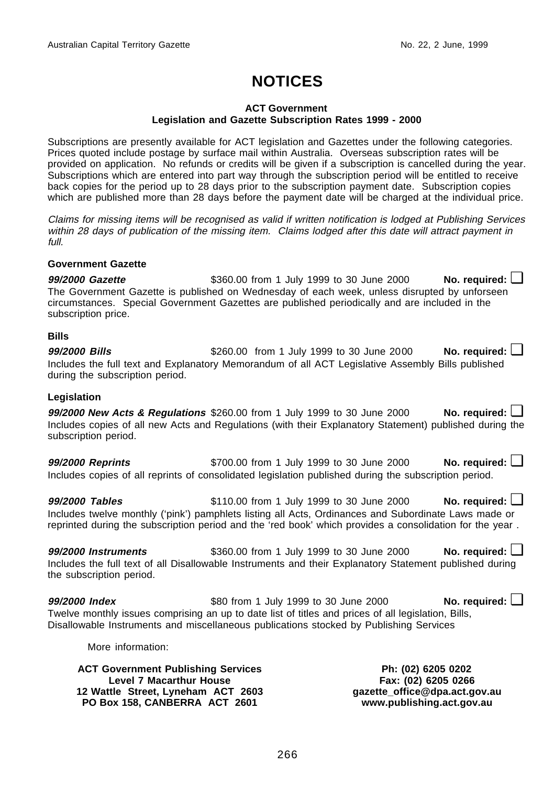# **NOTICES**

#### **ACT Government Legislation and Gazette Subscription Rates 1999 - 2000**

Subscriptions are presently available for ACT legislation and Gazettes under the following categories. Prices quoted include postage by surface mail within Australia. Overseas subscription rates will be provided on application. No refunds or credits will be given if a subscription is cancelled during the year. Subscriptions which are entered into part way through the subscription period will be entitled to receive back copies for the period up to 28 days prior to the subscription payment date. Subscription copies which are published more than 28 days before the payment date will be charged at the individual price.

Claims for missing items will be recognised as valid if written notification is lodged at Publishing Services within 28 days of publication of the missing item. Claims lodged after this date will attract payment in full.

#### **Government Gazette**

**99/2000 Gazette** \$360.00 from 1 July 1999 to 30 June 2000 **No. required: □** The Government Gazette is published on Wednesday of each week, unless disrupted by unforseen circumstances. Special Government Gazettes are published periodically and are included in the subscription price.

#### **Bills**

**99/2000 Bills b \$260.00** from 1 July 1999 to 30 June 2000 **No. required: △** Includes the full text and Explanatory Memorandum of all ACT Legislative Assembly Bills published during the subscription period.

#### **Legislation**

**99/2000 New Acts & Regulations** \$260.00 from 1 July 1999 to 30 June 2000 **No. required: □** Includes copies of all new Acts and Regulations (with their Explanatory Statement) published during the subscription period.

**99/2000 Reprints \$700.00 from 1 July 1999 to 30 June 2000 <b>No. required:** ■ Includes copies of all reprints of consolidated legislation published during the subscription period.

**99/2000 Tables because \$110.00 from 1 July 1999 to 30 June 2000 <b>No. required: □** Includes twelve monthly ('pink') pamphlets listing all Acts, Ordinances and Subordinate Laws made or reprinted during the subscription period and the 'red book' which provides a consolidation for the year .

**99/2000 Instruments** \$360.00 from 1 July 1999 to 30 June 2000 **No. required:** ❏ Includes the full text of all Disallowable Instruments and their Explanatory Statement published during the subscription period.

**99/2000 Index b \$80 from 1 July 1999 to 30 June 2000 <b>No. required:** ■ Twelve monthly issues comprising an up to date list of titles and prices of all legislation, Bills, Disallowable Instruments and miscellaneous publications stocked by Publishing Services

More information:

**ACT Government Publishing Services Level 7 Macarthur House 12 Wattle Street, Lyneham ACT 2603 PO Box 158, CANBERRA ACT 2601**

**Ph: (02) 6205 0202 Fax: (02) 6205 0266 gazette\_office@dpa.act.gov.au www.publishing.act.gov.au**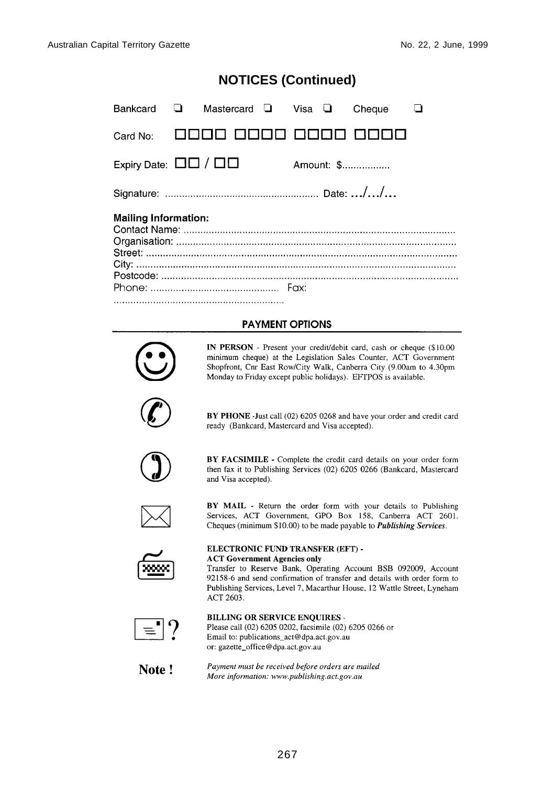## **NOTICES (Continued)**

| Bankcard $\Box$                            | Mastercard $\Box$ Visa $\Box$ |  | Cheque     |  |
|--------------------------------------------|-------------------------------|--|------------|--|
| Card No:                                   |                               |  |            |  |
| Expiry Date: $\Box$ $\Box$ / $\Box$ $\Box$ |                               |  | Amount: \$ |  |
|                                            |                               |  |            |  |
| <b>Mailing Information:</b>                |                               |  |            |  |
|                                            |                               |  |            |  |
|                                            |                               |  |            |  |
|                                            |                               |  |            |  |
|                                            |                               |  |            |  |

#### **PAYMENT OPTIONS**